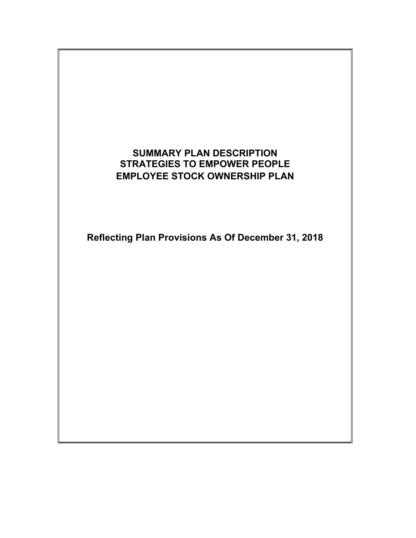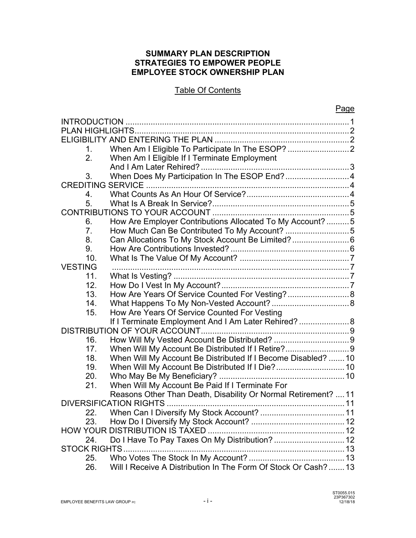#### **SUMMARY PLAN DESCRIPTION STRATEGIES TO EMPOWER PEOPLE EMPLOYEE STOCK OWNERSHIP PLAN**

### Table Of Contents

|                      |                                                                 | <b>Page</b> |
|----------------------|-----------------------------------------------------------------|-------------|
| <b>INTRODUCTION</b>  |                                                                 |             |
|                      |                                                                 |             |
|                      |                                                                 |             |
| 1.                   | When Am I Eligible To Participate In The ESOP? 2                |             |
| 2.                   | When Am I Eligible If I Terminate Employment                    |             |
|                      |                                                                 |             |
| 3.                   | When Does My Participation In The ESOP End? 4                   |             |
|                      |                                                                 |             |
| 4.                   |                                                                 |             |
| 5.                   |                                                                 |             |
|                      |                                                                 |             |
| 6.                   | How Are Employer Contributions Allocated To My Account?  5      |             |
| 7.                   | How Much Can Be Contributed To My Account? 5                    |             |
| 8.                   | Can Allocations To My Stock Account Be Limited? 6               |             |
| 9.                   |                                                                 |             |
| 10.                  |                                                                 |             |
| <b>VESTING</b>       |                                                                 |             |
| 11.                  |                                                                 |             |
| 12.                  |                                                                 |             |
| 13.                  | How Are Years Of Service Counted For Vesting? 8                 |             |
| 14.                  |                                                                 |             |
| 15.                  | How Are Years Of Service Counted For Vesting                    |             |
|                      | If I Terminate Employment And I Am Later Rehired? 8             |             |
|                      |                                                                 |             |
| 16.                  |                                                                 |             |
| 17.                  | When Will My Account Be Distributed If I Retire?9               |             |
| 18.                  | When Will My Account Be Distributed If I Become Disabled?  10   |             |
| 19.                  |                                                                 |             |
| 20.                  |                                                                 |             |
| 21.                  | When Will My Account Be Paid If I Terminate For                 |             |
|                      | Reasons Other Than Death, Disability Or Normal Retirement?  11  |             |
|                      |                                                                 |             |
| 22.                  |                                                                 |             |
| 23.                  |                                                                 |             |
|                      | <b>HOW YOUR DISTRIBUTION IS TAXED</b>                           |             |
| 24.                  | Do I Have To Pay Taxes On My Distribution?  12                  |             |
| <b>STOCK RIGHTS.</b> |                                                                 |             |
| 25.                  |                                                                 |             |
| 26.                  | Will I Receive A Distribution In The Form Of Stock Or Cash?  13 |             |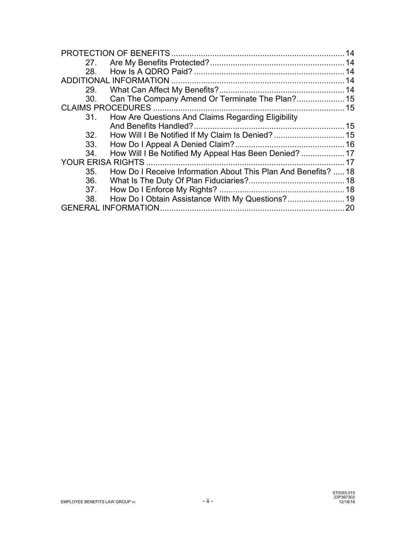|                          |                                                                | 14 |
|--------------------------|----------------------------------------------------------------|----|
|                          |                                                                |    |
| 28.                      |                                                                |    |
|                          |                                                                | 14 |
|                          |                                                                |    |
| 30.                      | Can The Company Amend Or Terminate The Plan? 15                |    |
|                          | <b>CLAIMS PROCEDURES.</b>                                      |    |
| 31.                      | How Are Questions And Claims Regarding Eligibility             |    |
|                          |                                                                |    |
| 32.                      | How Will I Be Notified If My Claim Is Denied?  15              |    |
| 33.                      |                                                                |    |
| 34.                      | How Will I Be Notified My Appeal Has Been Denied?  17          |    |
| <b>YOUR ERISA RIGHTS</b> |                                                                | 17 |
| 35.                      | How Do I Receive Information About This Plan And Benefits?  18 |    |
| 36.                      |                                                                |    |
| 37.                      |                                                                |    |
| 38.                      | How Do I Obtain Assistance With My Questions? 19               |    |
|                          |                                                                | 20 |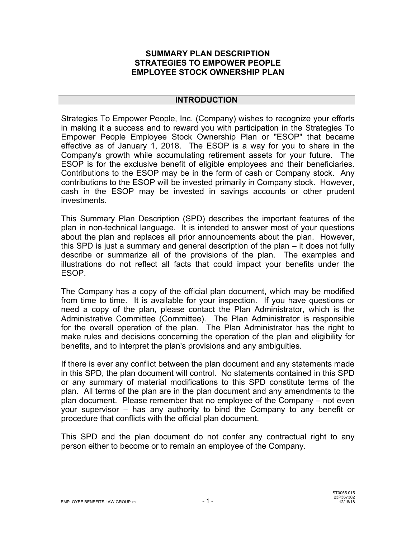#### **SUMMARY PLAN DESCRIPTION STRATEGIES TO EMPOWER PEOPLE EMPLOYEE STOCK OWNERSHIP PLAN**

#### **INTRODUCTION**

Strategies To Empower People, Inc. (Company) wishes to recognize your efforts in making it a success and to reward you with participation in the Strategies To Empower People Employee Stock Ownership Plan or "ESOP" that became effective as of January 1, 2018. The ESOP is a way for you to share in the Company's growth while accumulating retirement assets for your future. The ESOP is for the exclusive benefit of eligible employees and their beneficiaries. Contributions to the ESOP may be in the form of cash or Company stock. Any contributions to the ESOP will be invested primarily in Company stock. However, cash in the ESOP may be invested in savings accounts or other prudent investments.

This Summary Plan Description (SPD) describes the important features of the plan in non-technical language. It is intended to answer most of your questions about the plan and replaces all prior announcements about the plan. However, this SPD is just a summary and general description of the plan – it does not fully describe or summarize all of the provisions of the plan. The examples and illustrations do not reflect all facts that could impact your benefits under the ESOP.

The Company has a copy of the official plan document, which may be modified from time to time. It is available for your inspection. If you have questions or need a copy of the plan, please contact the Plan Administrator, which is the Administrative Committee (Committee). The Plan Administrator is responsible for the overall operation of the plan. The Plan Administrator has the right to make rules and decisions concerning the operation of the plan and eligibility for benefits, and to interpret the plan's provisions and any ambiguities.

If there is ever any conflict between the plan document and any statements made in this SPD, the plan document will control. No statements contained in this SPD or any summary of material modifications to this SPD constitute terms of the plan. All terms of the plan are in the plan document and any amendments to the plan document. Please remember that no employee of the Company – not even your supervisor – has any authority to bind the Company to any benefit or procedure that conflicts with the official plan document.

This SPD and the plan document do not confer any contractual right to any person either to become or to remain an employee of the Company.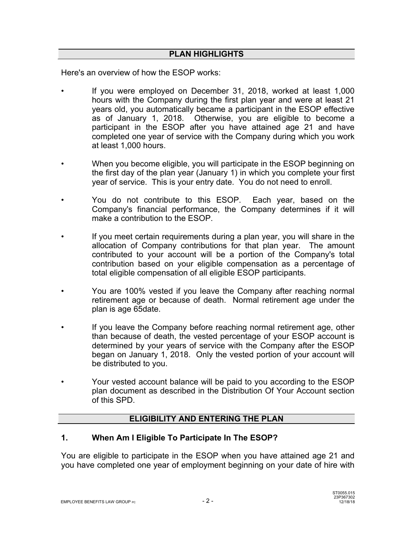#### **PLAN HIGHLIGHTS**

Here's an overview of how the ESOP works:

- If you were employed on December 31, 2018, worked at least 1,000 hours with the Company during the first plan year and were at least 21 years old, you automatically became a participant in the ESOP effective as of January 1, 2018. Otherwise, you are eligible to become a participant in the ESOP after you have attained age 21 and have completed one year of service with the Company during which you work at least 1,000 hours.
- When you become eligible, you will participate in the ESOP beginning on the first day of the plan year (January 1) in which you complete your first year of service. This is your entry date. You do not need to enroll.
- You do not contribute to this ESOP. Each year, based on the Company's financial performance, the Company determines if it will make a contribution to the ESOP.
- If you meet certain requirements during a plan year, you will share in the allocation of Company contributions for that plan year. The amount contributed to your account will be a portion of the Company's total contribution based on your eligible compensation as a percentage of total eligible compensation of all eligible ESOP participants.
- You are 100% vested if you leave the Company after reaching normal retirement age or because of death. Normal retirement age under the plan is age 65date.
- If you leave the Company before reaching normal retirement age, other than because of death, the vested percentage of your ESOP account is determined by your years of service with the Company after the ESOP began on January 1, 2018. Only the vested portion of your account will be distributed to you.
- Your vested account balance will be paid to you according to the ESOP plan document as described in the Distribution Of Your Account section of this SPD.

# **ELIGIBILITY AND ENTERING THE PLAN**

#### **1. When Am I Eligible To Participate In The ESOP?**

You are eligible to participate in the ESOP when you have attained age 21 and you have completed one year of employment beginning on your date of hire with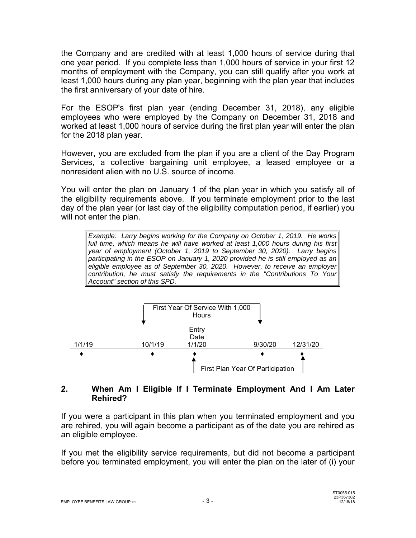the Company and are credited with at least 1,000 hours of service during that one year period. If you complete less than 1,000 hours of service in your first 12 months of employment with the Company, you can still qualify after you work at least 1,000 hours during any plan year, beginning with the plan year that includes the first anniversary of your date of hire.

For the ESOP's first plan year (ending December 31, 2018), any eligible employees who were employed by the Company on December 31, 2018 and worked at least 1,000 hours of service during the first plan year will enter the plan for the 2018 plan year.

However, you are excluded from the plan if you are a client of the Day Program Services, a collective bargaining unit employee, a leased employee or a nonresident alien with no U.S. source of income.

You will enter the plan on January 1 of the plan year in which you satisfy all of the eligibility requirements above. If you terminate employment prior to the last day of the plan year (or last day of the eligibility computation period, if earlier) you will not enter the plan.

*Example: Larry begins working for the Company on October 1, 2019. He works*  full time, which means he will have worked at least 1,000 hours during his first *year of employment (October 1, 2019 to September 30, 2020). Larry begins participating in the ESOP on January 1, 2020 provided he is still employed as an eligible employee as of September 30, 2020. However, to receive an employer contribution, he must satisfy the requirements in the "Contributions To Your Account" section of this SPD.*



### **2. When Am I Eligible If I Terminate Employment And I Am Later Rehired?**

If you were a participant in this plan when you terminated employment and you are rehired, you will again become a participant as of the date you are rehired as an eligible employee.

If you met the eligibility service requirements, but did not become a participant before you terminated employment, you will enter the plan on the later of (i) your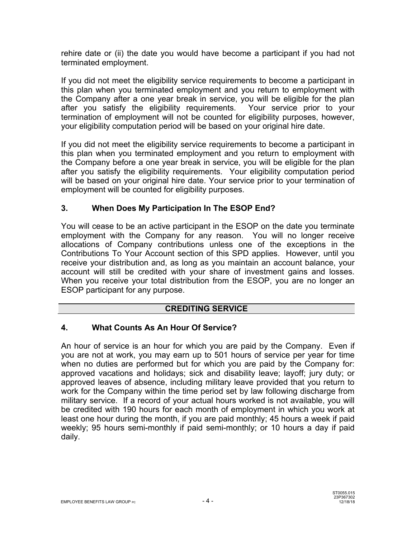rehire date or (ii) the date you would have become a participant if you had not terminated employment.

If you did not meet the eligibility service requirements to become a participant in this plan when you terminated employment and you return to employment with the Company after a one year break in service, you will be eligible for the plan after you satisfy the eligibility requirements. Your service prior to your termination of employment will not be counted for eligibility purposes, however, your eligibility computation period will be based on your original hire date.

If you did not meet the eligibility service requirements to become a participant in this plan when you terminated employment and you return to employment with the Company before a one year break in service, you will be eligible for the plan after you satisfy the eligibility requirements. Your eligibility computation period will be based on your original hire date. Your service prior to your termination of employment will be counted for eligibility purposes.

# **3. When Does My Participation In The ESOP End?**

You will cease to be an active participant in the ESOP on the date you terminate employment with the Company for any reason. You will no longer receive allocations of Company contributions unless one of the exceptions in the Contributions To Your Account section of this SPD applies. However, until you receive your distribution and, as long as you maintain an account balance, your account will still be credited with your share of investment gains and losses. When you receive your total distribution from the ESOP, you are no longer an ESOP participant for any purpose.

# **CREDITING SERVICE CREDITING**

# **4. What Counts As An Hour Of Service?**

An hour of service is an hour for which you are paid by the Company. Even if you are not at work, you may earn up to 501 hours of service per year for time when no duties are performed but for which you are paid by the Company for: approved vacations and holidays; sick and disability leave; layoff; jury duty; or approved leaves of absence, including military leave provided that you return to work for the Company within the time period set by law following discharge from military service. If a record of your actual hours worked is not available, you will be credited with 190 hours for each month of employment in which you work at least one hour during the month, if you are paid monthly; 45 hours a week if paid weekly; 95 hours semi-monthly if paid semi-monthly; or 10 hours a day if paid daily.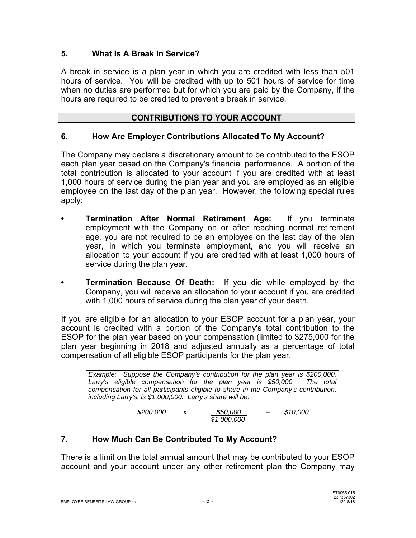# **5. What Is A Break In Service?**

A break in service is a plan year in which you are credited with less than 501 hours of service. You will be credited with up to 501 hours of service for time when no duties are performed but for which you are paid by the Company, if the hours are required to be credited to prevent a break in service.

#### **CONTRIBUTIONS TO YOUR ACCOUNT**

#### **6. How Are Employer Contributions Allocated To My Account?**

The Company may declare a discretionary amount to be contributed to the ESOP each plan year based on the Company's financial performance. A portion of the total contribution is allocated to your account if you are credited with at least 1,000 hours of service during the plan year and you are employed as an eligible employee on the last day of the plan year. However, the following special rules apply:

- **Termination After Normal Retirement Age:** If you terminate employment with the Company on or after reaching normal retirement age, you are not required to be an employee on the last day of the plan year, in which you terminate employment, and you will receive an allocation to your account if you are credited with at least 1,000 hours of service during the plan year.
- **Termination Because Of Death:** If you die while employed by the Company, you will receive an allocation to your account if you are credited with 1,000 hours of service during the plan year of your death.

If you are eligible for an allocation to your ESOP account for a plan year, your account is credited with a portion of the Company's total contribution to the ESOP for the plan year based on your compensation (limited to \$275,000 for the plan year beginning in 2018 and adjusted annually as a percentage of total compensation of all eligible ESOP participants for the plan year.

| Example: Suppose the Company's contribution for the plan year is \$200,000.        |           |                           |             |  |          |  |
|------------------------------------------------------------------------------------|-----------|---------------------------|-------------|--|----------|--|
| Larry's eligible compensation for the plan year is \$50,000. The total             |           |                           |             |  |          |  |
| compensation for all participants eligible to share in the Company's contribution, |           |                           |             |  |          |  |
| including Larry's, is \$1,000,000. Larry's share will be:                          |           |                           |             |  |          |  |
|                                                                                    |           |                           |             |  |          |  |
|                                                                                    | \$200,000 | $\boldsymbol{\mathsf{x}}$ | \$50,000    |  | \$10,000 |  |
|                                                                                    |           |                           | \$1,000,000 |  |          |  |

# **7. How Much Can Be Contributed To My Account?**

There is a limit on the total annual amount that may be contributed to your ESOP account and your account under any other retirement plan the Company may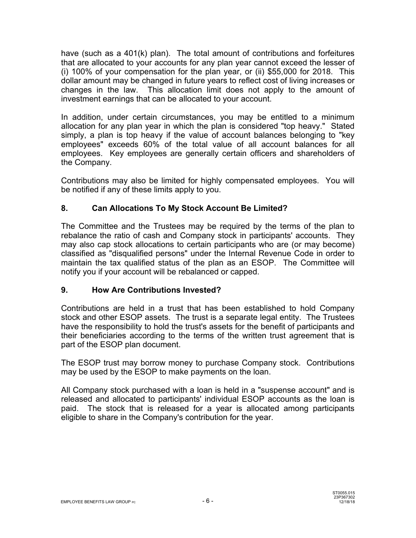have (such as a 401(k) plan). The total amount of contributions and forfeitures that are allocated to your accounts for any plan year cannot exceed the lesser of (i) 100% of your compensation for the plan year, or (ii) \$55,000 for 2018. This dollar amount may be changed in future years to reflect cost of living increases or changes in the law. This allocation limit does not apply to the amount of investment earnings that can be allocated to your account.

In addition, under certain circumstances, you may be entitled to a minimum allocation for any plan year in which the plan is considered "top heavy." Stated simply, a plan is top heavy if the value of account balances belonging to "key employees" exceeds 60% of the total value of all account balances for all employees. Key employees are generally certain officers and shareholders of the Company.

Contributions may also be limited for highly compensated employees. You will be notified if any of these limits apply to you.

# **8. Can Allocations To My Stock Account Be Limited?**

The Committee and the Trustees may be required by the terms of the plan to rebalance the ratio of cash and Company stock in participants' accounts. They may also cap stock allocations to certain participants who are (or may become) classified as "disqualified persons" under the Internal Revenue Code in order to maintain the tax qualified status of the plan as an ESOP. The Committee will notify you if your account will be rebalanced or capped.

# **9. How Are Contributions Invested?**

Contributions are held in a trust that has been established to hold Company stock and other ESOP assets. The trust is a separate legal entity. The Trustees have the responsibility to hold the trust's assets for the benefit of participants and their beneficiaries according to the terms of the written trust agreement that is part of the ESOP plan document.

The ESOP trust may borrow money to purchase Company stock. Contributions may be used by the ESOP to make payments on the loan.

All Company stock purchased with a loan is held in a "suspense account" and is released and allocated to participants' individual ESOP accounts as the loan is paid. The stock that is released for a year is allocated among participants eligible to share in the Company's contribution for the year.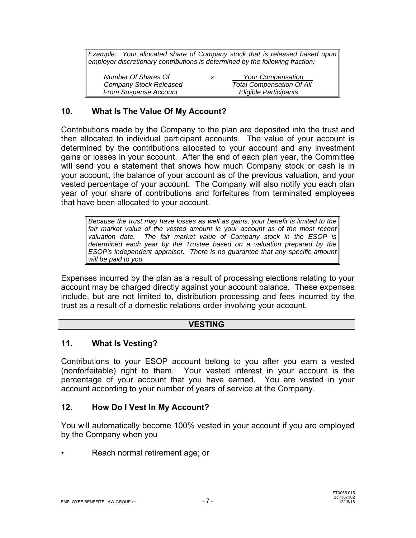*Example: Your allocated share of Company stock that is released based upon employer discretionary contributions is determined by the following fraction:* 

| Number Of Shares Of          | х | <b>Your Compensation</b>         |
|------------------------------|---|----------------------------------|
| Company Stock Released       |   | <b>Total Compensation Of All</b> |
| <b>From Suspense Account</b> |   | Eligible Participants            |

#### **10. What Is The Value Of My Account?**

Contributions made by the Company to the plan are deposited into the trust and then allocated to individual participant accounts. The value of your account is determined by the contributions allocated to your account and any investment gains or losses in your account. After the end of each plan year, the Committee will send you a statement that shows how much Company stock or cash is in your account, the balance of your account as of the previous valuation, and your vested percentage of your account. The Company will also notify you each plan year of your share of contributions and forfeitures from terminated employees that have been allocated to your account.

*Because the trust may have losses as well as gains, your benefit is limited to the*  fair market value of the vested amount in your account as of the most recent *valuation date. The fair market value of Company stock in the ESOP is determined each year by the Trustee based on a valuation prepared by the ESOP's independent appraiser. There is no guarantee that any specific amount will be paid to you.*

Expenses incurred by the plan as a result of processing elections relating to your account may be charged directly against your account balance. These expenses include, but are not limited to, distribution processing and fees incurred by the trust as a result of a domestic relations order involving your account.

#### **VESTING**

#### **11. What Is Vesting?**

Contributions to your ESOP account belong to you after you earn a vested (nonforfeitable) right to them. Your vested interest in your account is the percentage of your account that you have earned. You are vested in your account according to your number of years of service at the Company.

#### **12. How Do I Vest In My Account?**

You will automatically become 100% vested in your account if you are employed by the Company when you

• Reach normal retirement age; or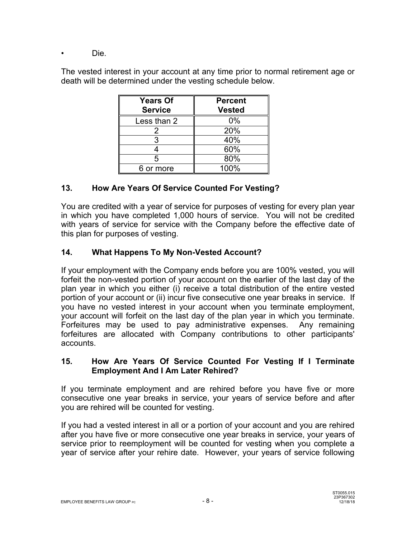• Die.

The vested interest in your account at any time prior to normal retirement age or death will be determined under the vesting schedule below.

| <b>Years Of</b><br><b>Service</b> | <b>Percent</b><br><b>Vested</b> |  |  |
|-----------------------------------|---------------------------------|--|--|
| Less than 2                       | 0%                              |  |  |
| 2                                 | 20%                             |  |  |
| 3                                 | 40%                             |  |  |
|                                   | 60%                             |  |  |
| 5                                 | 80%                             |  |  |
| 6 or more                         | 100%                            |  |  |

# **13. How Are Years Of Service Counted For Vesting?**

You are credited with a year of service for purposes of vesting for every plan year in which you have completed 1,000 hours of service. You will not be credited with years of service for service with the Company before the effective date of this plan for purposes of vesting.

# **14. What Happens To My Non-Vested Account?**

If your employment with the Company ends before you are 100% vested, you will forfeit the non-vested portion of your account on the earlier of the last day of the plan year in which you either (i) receive a total distribution of the entire vested portion of your account or (ii) incur five consecutive one year breaks in service. If you have no vested interest in your account when you terminate employment, your account will forfeit on the last day of the plan year in which you terminate. Forfeitures may be used to pay administrative expenses. Any remaining forfeitures are allocated with Company contributions to other participants' accounts.

### **15. How Are Years Of Service Counted For Vesting If I Terminate Employment And I Am Later Rehired?**

If you terminate employment and are rehired before you have five or more consecutive one year breaks in service, your years of service before and after you are rehired will be counted for vesting.

If you had a vested interest in all or a portion of your account and you are rehired after you have five or more consecutive one year breaks in service, your years of service prior to reemployment will be counted for vesting when you complete a year of service after your rehire date. However, your years of service following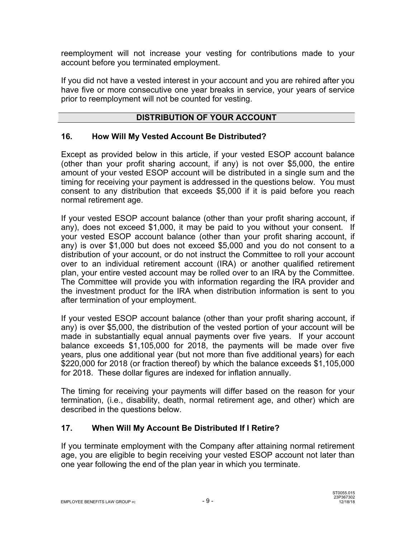reemployment will not increase your vesting for contributions made to your account before you terminated employment.

If you did not have a vested interest in your account and you are rehired after you have five or more consecutive one year breaks in service, your years of service prior to reemployment will not be counted for vesting.

# **DISTRIBUTION OF YOUR ACCOUNT**

# **16. How Will My Vested Account Be Distributed?**

Except as provided below in this article, if your vested ESOP account balance (other than your profit sharing account, if any) is not over \$5,000, the entire amount of your vested ESOP account will be distributed in a single sum and the timing for receiving your payment is addressed in the questions below. You must consent to any distribution that exceeds \$5,000 if it is paid before you reach normal retirement age.

If your vested ESOP account balance (other than your profit sharing account, if any), does not exceed \$1,000, it may be paid to you without your consent. If your vested ESOP account balance (other than your profit sharing account, if any) is over \$1,000 but does not exceed \$5,000 and you do not consent to a distribution of your account, or do not instruct the Committee to roll your account over to an individual retirement account (IRA) or another qualified retirement plan, your entire vested account may be rolled over to an IRA by the Committee. The Committee will provide you with information regarding the IRA provider and the investment product for the IRA when distribution information is sent to you after termination of your employment.

If your vested ESOP account balance (other than your profit sharing account, if any) is over \$5,000, the distribution of the vested portion of your account will be made in substantially equal annual payments over five years.If your account balance exceeds \$1,105,000 for 2018, the payments will be made over five years, plus one additional year (but not more than five additional years) for each \$220,000 for 2018 (or fraction thereof) by which the balance exceeds \$1,105,000 for 2018. These dollar figures are indexed for inflation annually.

The timing for receiving your payments will differ based on the reason for your termination, (i.e., disability, death, normal retirement age, and other) which are described in the questions below.

# **17. When Will My Account Be Distributed If I Retire?**

If you terminate employment with the Company after attaining normal retirement age, you are eligible to begin receiving your vested ESOP account not later than one year following the end of the plan year in which you terminate.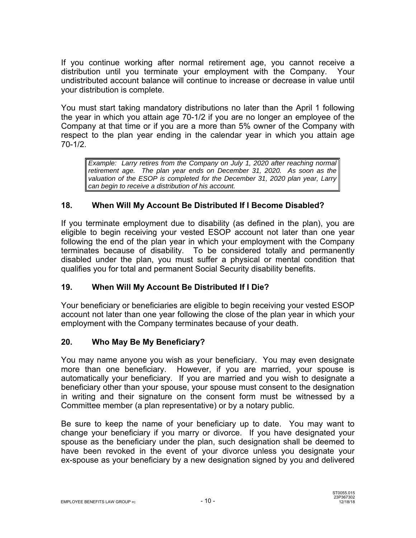If you continue working after normal retirement age, you cannot receive a distribution until you terminate your employment with the Company. Your undistributed account balance will continue to increase or decrease in value until your distribution is complete.

You must start taking mandatory distributions no later than the April 1 following the year in which you attain age 70-1/2 if you are no longer an employee of the Company at that time or if you are a more than 5% owner of the Company with respect to the plan year ending in the calendar year in which you attain age 70-1/2.

*Example: Larry retires from the Company on July 1, 2020 after reaching normal retirement age. The plan year ends on December 31, 2020. As soon as the valuation of the ESOP is completed for the December 31, 2020 plan year, Larry can begin to receive a distribution of his account.*

# **18. When Will My Account Be Distributed If I Become Disabled?**

If you terminate employment due to disability (as defined in the plan), you are eligible to begin receiving your vested ESOP account not later than one year following the end of the plan year in which your employment with the Company terminates because of disability. To be considered totally and permanently disabled under the plan, you must suffer a physical or mental condition that qualifies you for total and permanent Social Security disability benefits.

# **19. When Will My Account Be Distributed If I Die?**

Your beneficiary or beneficiaries are eligible to begin receiving your vested ESOP account not later than one year following the close of the plan year in which your employment with the Company terminates because of your death.

# **20. Who May Be My Beneficiary?**

You may name anyone you wish as your beneficiary. You may even designate more than one beneficiary. However, if you are married, your spouse is automatically your beneficiary. If you are married and you wish to designate a beneficiary other than your spouse, your spouse must consent to the designation in writing and their signature on the consent form must be witnessed by a Committee member (a plan representative) or by a notary public.

Be sure to keep the name of your beneficiary up to date. You may want to change your beneficiary if you marry or divorce. If you have designated your spouse as the beneficiary under the plan, such designation shall be deemed to have been revoked in the event of your divorce unless you designate your ex-spouse as your beneficiary by a new designation signed by you and delivered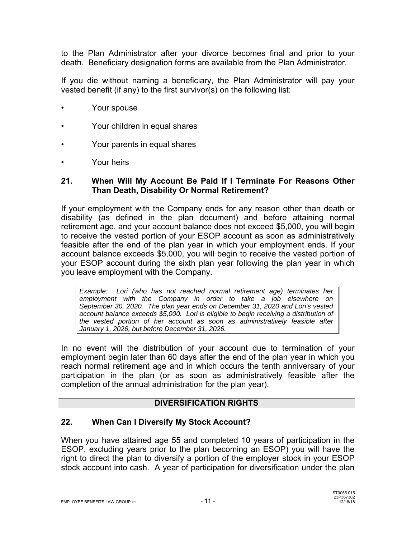to the Plan Administrator after your divorce becomes final and prior to your death. Beneficiary designation forms are available from the Plan Administrator.

If you die without naming a beneficiary, the Plan Administrator will pay your vested benefit (if any) to the first survivor(s) on the following list:

- Your spouse
- Your children in equal shares
- Your parents in equal shares
- Your heirs

### **21. When Will My Account Be Paid If I Terminate For Reasons Other Than Death, Disability Or Normal Retirement?**

If your employment with the Company ends for any reason other than death or disability (as defined in the plan document) and before attaining normal retirement age, and your account balance does not exceed \$5,000, you will begin to receive the vested portion of your ESOP account as soon as administratively feasible after the end of the plan year in which your employment ends. If your account balance exceeds \$5,000, you will begin to receive the vested portion of your ESOP account during the sixth plan year following the plan year in which you leave employment with the Company.

*Example: Lori (who has not reached normal retirement age) terminates her employment with the Company in order to take a job elsewhere on September 30, 2020. The plan year ends on December 31, 2020 and Lori's vested account balance exceeds \$5,000. Lori is eligible to begin receiving a distribution of the vested portion of her account as soon as administratively feasible after January 1, 2026, but before December 31, 2026.* 

In no event will the distribution of your account due to termination of your employment begin later than 60 days after the end of the plan year in which you reach normal retirement age and in which occurs the tenth anniversary of your participation in the plan (or as soon as administratively feasible after the completion of the annual administration for the plan year).

#### **DIVERSIFICATION RIGHTS**

# **22. When Can I Diversify My Stock Account?**

When you have attained age 55 and completed 10 years of participation in the ESOP, excluding years prior to the plan becoming an ESOP) you will have the right to direct the plan to diversify a portion of the employer stock in your ESOP stock account into cash. A year of participation for diversification under the plan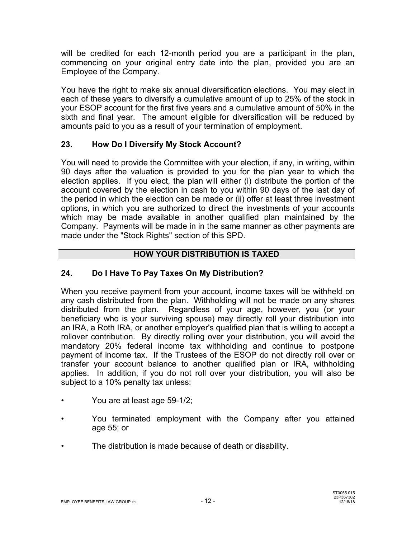will be credited for each 12-month period you are a participant in the plan, commencing on your original entry date into the plan, provided you are an Employee of the Company.

You have the right to make six annual diversification elections. You may elect in each of these years to diversify a cumulative amount of up to 25% of the stock in your ESOP account for the first five years and a cumulative amount of 50% in the sixth and final year. The amount eligible for diversification will be reduced by amounts paid to you as a result of your termination of employment.

# **23. How Do I Diversify My Stock Account?**

You will need to provide the Committee with your election, if any, in writing, within 90 days after the valuation is provided to you for the plan year to which the election applies. If you elect, the plan will either (i) distribute the portion of the account covered by the election in cash to you within 90 days of the last day of the period in which the election can be made or (ii) offer at least three investment options, in which you are authorized to direct the investments of your accounts which may be made available in another qualified plan maintained by the Company. Payments will be made in in the same manner as other payments are made under the "Stock Rights" section of this SPD.

# **HOW YOUR DISTRIBUTION IS TAXED**

# **24. Do I Have To Pay Taxes On My Distribution?**

When you receive payment from your account, income taxes will be withheld on any cash distributed from the plan. Withholding will not be made on any shares distributed from the plan. Regardless of your age, however, you (or your beneficiary who is your surviving spouse) may directly roll your distribution into an IRA, a Roth IRA, or another employer's qualified plan that is willing to accept a rollover contribution. By directly rolling over your distribution, you will avoid the mandatory 20% federal income tax withholding and continue to postpone payment of income tax. If the Trustees of the ESOP do not directly roll over or transfer your account balance to another qualified plan or IRA, withholding applies. In addition, if you do not roll over your distribution, you will also be subject to a 10% penalty tax unless:

- You are at least age 59-1/2;
- You terminated employment with the Company after you attained age 55; or
- The distribution is made because of death or disability.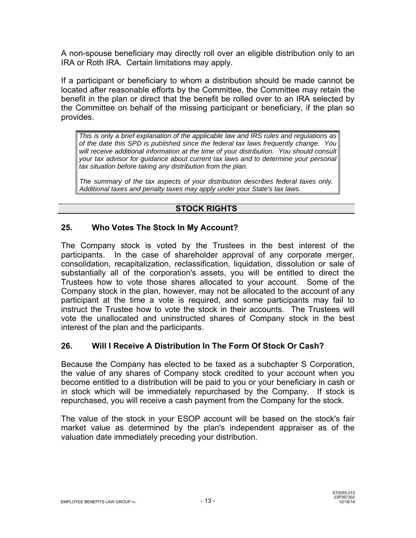A non-spouse beneficiary may directly roll over an eligible distribution only to an IRA or Roth IRA. Certain limitations may apply.

If a participant or beneficiary to whom a distribution should be made cannot be located after reasonable efforts by the Committee, the Committee may retain the benefit in the plan or direct that the benefit be rolled over to an IRA selected by the Committee on behalf of the missing participant or beneficiary, if the plan so provides.

*This is only a brief explanation of the applicable law and IRS rules and regulations as of the date this SPD is published since the federal tax laws frequently change. You will receive additional information at the time of your distribution. You should consult your tax advisor for guidance about current tax laws and to determine your personal tax situation before taking any distribution from the plan.* 

*The summary of the tax aspects of your distribution describes federal taxes only. Additional taxes and penalty taxes may apply under your State's tax laws.* 

# **STOCK RIGHTS**

# **25. Who Votes The Stock In My Account?**

The Company stock is voted by the Trustees in the best interest of the participants. In the case of shareholder approval of any corporate merger, consolidation, recapitalization, reclassification, liquidation, dissolution or sale of substantially all of the corporation's assets, you will be entitled to direct the Trustees how to vote those shares allocated to your account. Some of the Company stock in the plan, however, may not be allocated to the account of any participant at the time a vote is required, and some participants may fail to instruct the Trustee how to vote the stock in their accounts. The Trustees will vote the unallocated and uninstructed shares of Company stock in the best interest of the plan and the participants.

# **26. Will I Receive A Distribution In The Form Of Stock Or Cash?**

Because the Company has elected to be taxed as a subchapter S Corporation, the value of any shares of Company stock credited to your account when you become entitled to a distribution will be paid to you or your beneficiary in cash or in stock which will be immediately repurchased by the Company. If stock is repurchased, you will receive a cash payment from the Company for the stock.

The value of the stock in your ESOP account will be based on the stock's fair market value as determined by the plan's independent appraiser as of the valuation date immediately preceding your distribution.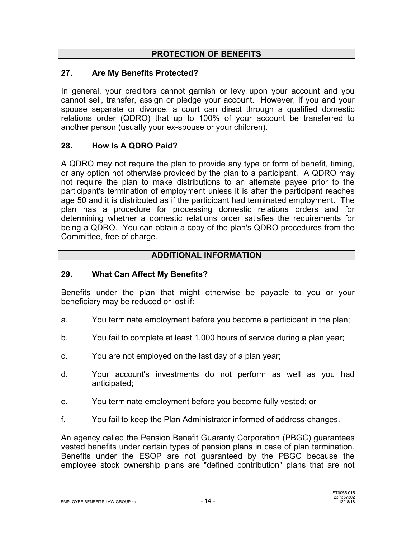### **PROTECTION OF BENEFITS**

### **27. Are My Benefits Protected?**

In general, your creditors cannot garnish or levy upon your account and you cannot sell, transfer, assign or pledge your account. However, if you and your spouse separate or divorce, a court can direct through a qualified domestic relations order (QDRO) that up to 100% of your account be transferred to another person (usually your ex-spouse or your children).

### **28. How Is A QDRO Paid?**

A QDRO may not require the plan to provide any type or form of benefit, timing, or any option not otherwise provided by the plan to a participant. A QDRO may not require the plan to make distributions to an alternate payee prior to the participant's termination of employment unless it is after the participant reaches age 50 and it is distributed as if the participant had terminated employment. The plan has a procedure for processing domestic relations orders and for determining whether a domestic relations order satisfies the requirements for being a QDRO. You can obtain a copy of the plan's QDRO procedures from the Committee, free of charge.

#### **ADDITIONAL INFORMATION**

#### **29. What Can Affect My Benefits?**

Benefits under the plan that might otherwise be payable to you or your beneficiary may be reduced or lost if:

- a. You terminate employment before you become a participant in the plan;
- b. You fail to complete at least 1,000 hours of service during a plan year;
- c. You are not employed on the last day of a plan year;
- d. Your account's investments do not perform as well as you had anticipated;
- e. You terminate employment before you become fully vested; or
- f. You fail to keep the Plan Administrator informed of address changes.

An agency called the Pension Benefit Guaranty Corporation (PBGC) guarantees vested benefits under certain types of pension plans in case of plan termination. Benefits under the ESOP are not guaranteed by the PBGC because the employee stock ownership plans are "defined contribution" plans that are not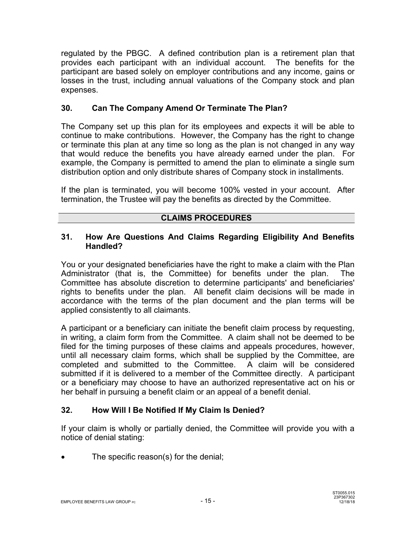regulated by the PBGC. A defined contribution plan is a retirement plan that provides each participant with an individual account. The benefits for the participant are based solely on employer contributions and any income, gains or losses in the trust, including annual valuations of the Company stock and plan expenses.

# **30. Can The Company Amend Or Terminate The Plan?**

The Company set up this plan for its employees and expects it will be able to continue to make contributions. However, the Company has the right to change or terminate this plan at any time so long as the plan is not changed in any way that would reduce the benefits you have already earned under the plan. For example, the Company is permitted to amend the plan to eliminate a single sum distribution option and only distribute shares of Company stock in installments.

If the plan is terminated, you will become 100% vested in your account. After termination, the Trustee will pay the benefits as directed by the Committee.

### **CLAIMS PROCEDURES**

### **31. How Are Questions And Claims Regarding Eligibility And Benefits Handled?**

You or your designated beneficiaries have the right to make a claim with the Plan Administrator (that is, the Committee) for benefits under the plan. The Committee has absolute discretion to determine participants' and beneficiaries' rights to benefits under the plan. All benefit claim decisions will be made in accordance with the terms of the plan document and the plan terms will be applied consistently to all claimants.

A participant or a beneficiary can initiate the benefit claim process by requesting, in writing, a claim form from the Committee. A claim shall not be deemed to be filed for the timing purposes of these claims and appeals procedures, however, until all necessary claim forms, which shall be supplied by the Committee, are completed and submitted to the Committee. A claim will be considered submitted if it is delivered to a member of the Committee directly. A participant or a beneficiary may choose to have an authorized representative act on his or her behalf in pursuing a benefit claim or an appeal of a benefit denial.

# **32. How Will I Be Notified If My Claim Is Denied?**

If your claim is wholly or partially denied, the Committee will provide you with a notice of denial stating:

The specific reason(s) for the denial;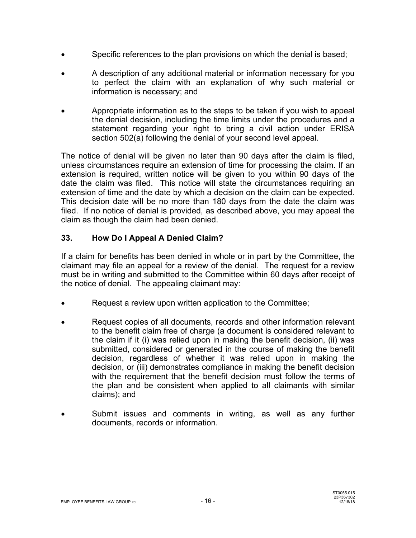- Specific references to the plan provisions on which the denial is based;
- A description of any additional material or information necessary for you to perfect the claim with an explanation of why such material or information is necessary; and
- Appropriate information as to the steps to be taken if you wish to appeal the denial decision, including the time limits under the procedures and a statement regarding your right to bring a civil action under ERISA section 502(a) following the denial of your second level appeal.

The notice of denial will be given no later than 90 days after the claim is filed, unless circumstances require an extension of time for processing the claim. If an extension is required, written notice will be given to you within 90 days of the date the claim was filed. This notice will state the circumstances requiring an extension of time and the date by which a decision on the claim can be expected. This decision date will be no more than 180 days from the date the claim was filed. If no notice of denial is provided, as described above, you may appeal the claim as though the claim had been denied.

# **33. How Do I Appeal A Denied Claim?**

If a claim for benefits has been denied in whole or in part by the Committee, the claimant may file an appeal for a review of the denial. The request for a review must be in writing and submitted to the Committee within 60 days after receipt of the notice of denial. The appealing claimant may:

- Request a review upon written application to the Committee;
- Request copies of all documents, records and other information relevant to the benefit claim free of charge (a document is considered relevant to the claim if it (i) was relied upon in making the benefit decision, (ii) was submitted, considered or generated in the course of making the benefit decision, regardless of whether it was relied upon in making the decision, or (iii) demonstrates compliance in making the benefit decision with the requirement that the benefit decision must follow the terms of the plan and be consistent when applied to all claimants with similar claims); and
- Submit issues and comments in writing, as well as any further documents, records or information.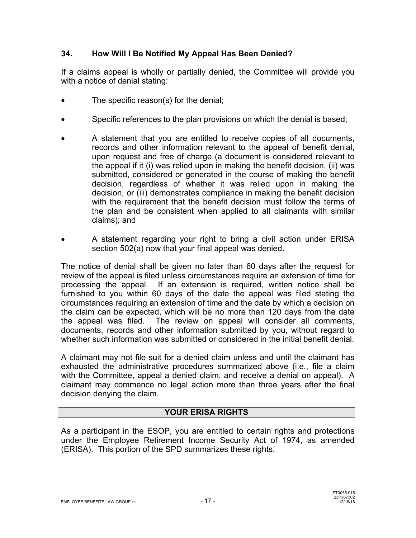# **34. How Will I Be Notified My Appeal Has Been Denied?**

If a claims appeal is wholly or partially denied, the Committee will provide you with a notice of denial stating:

- The specific reason(s) for the denial;
- Specific references to the plan provisions on which the denial is based;
- A statement that you are entitled to receive copies of all documents, records and other information relevant to the appeal of benefit denial, upon request and free of charge (a document is considered relevant to the appeal if it (i) was relied upon in making the benefit decision, (ii) was submitted, considered or generated in the course of making the benefit decision, regardless of whether it was relied upon in making the decision, or (iii) demonstrates compliance in making the benefit decision with the requirement that the benefit decision must follow the terms of the plan and be consistent when applied to all claimants with similar claims); and
- A statement regarding your right to bring a civil action under ERISA section 502(a) now that your final appeal was denied.

The notice of denial shall be given no later than 60 days after the request for review of the appeal is filed unless circumstances require an extension of time for processing the appeal. If an extension is required, written notice shall be furnished to you within 60 days of the date the appeal was filed stating the circumstances requiring an extension of time and the date by which a decision on the claim can be expected, which will be no more than 120 days from the date the appeal was filed. The review on appeal will consider all comments, documents, records and other information submitted by you, without regard to whether such information was submitted or considered in the initial benefit denial.

A claimant may not file suit for a denied claim unless and until the claimant has exhausted the administrative procedures summarized above (i.e., file a claim with the Committee, appeal a denied claim, and receive a denial on appeal). A claimant may commence no legal action more than three years after the final decision denying the claim.

# **YOUR ERISA RIGHTS**

As a participant in the ESOP, you are entitled to certain rights and protections under the Employee Retirement Income Security Act of 1974, as amended (ERISA). This portion of the SPD summarizes these rights.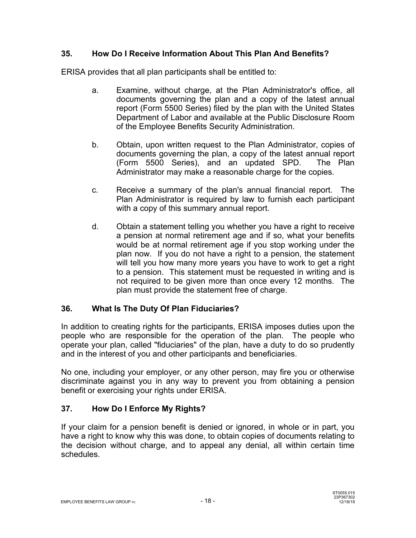# **35. How Do I Receive Information About This Plan And Benefits?**

ERISA provides that all plan participants shall be entitled to:

- a. Examine, without charge, at the Plan Administrator's office, all documents governing the plan and a copy of the latest annual report (Form 5500 Series) filed by the plan with the United States Department of Labor and available at the Public Disclosure Room of the Employee Benefits Security Administration.
- b. Obtain, upon written request to the Plan Administrator, copies of documents governing the plan, a copy of the latest annual report (Form 5500 Series), and an updated SPD. The Plan Administrator may make a reasonable charge for the copies.
- c. Receive a summary of the plan's annual financial report. The Plan Administrator is required by law to furnish each participant with a copy of this summary annual report.
- d. Obtain a statement telling you whether you have a right to receive a pension at normal retirement age and if so, what your benefits would be at normal retirement age if you stop working under the plan now. If you do not have a right to a pension, the statement will tell you how many more years you have to work to get a right to a pension. This statement must be requested in writing and is not required to be given more than once every 12 months. The plan must provide the statement free of charge.

# **36. What Is The Duty Of Plan Fiduciaries?**

In addition to creating rights for the participants, ERISA imposes duties upon the people who are responsible for the operation of the plan. The people who operate your plan, called "fiduciaries" of the plan, have a duty to do so prudently and in the interest of you and other participants and beneficiaries.

No one, including your employer, or any other person, may fire you or otherwise discriminate against you in any way to prevent you from obtaining a pension benefit or exercising your rights under ERISA.

# **37. How Do I Enforce My Rights?**

If your claim for a pension benefit is denied or ignored, in whole or in part, you have a right to know why this was done, to obtain copies of documents relating to the decision without charge, and to appeal any denial, all within certain time schedules.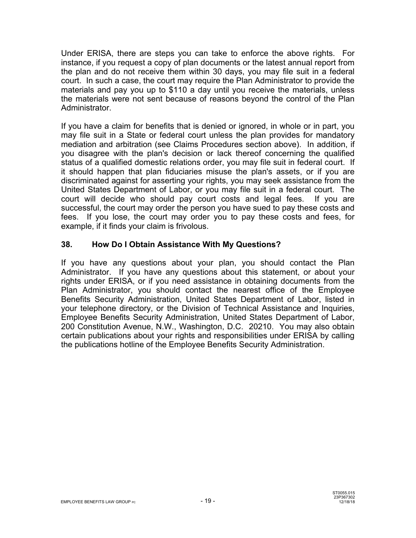Under ERISA, there are steps you can take to enforce the above rights. For instance, if you request a copy of plan documents or the latest annual report from the plan and do not receive them within 30 days, you may file suit in a federal court. In such a case, the court may require the Plan Administrator to provide the materials and pay you up to \$110 a day until you receive the materials, unless the materials were not sent because of reasons beyond the control of the Plan Administrator.

If you have a claim for benefits that is denied or ignored, in whole or in part, you may file suit in a State or federal court unless the plan provides for mandatory mediation and arbitration (see Claims Procedures section above). In addition, if you disagree with the plan's decision or lack thereof concerning the qualified status of a qualified domestic relations order, you may file suit in federal court. If it should happen that plan fiduciaries misuse the plan's assets, or if you are discriminated against for asserting your rights, you may seek assistance from the United States Department of Labor, or you may file suit in a federal court. The court will decide who should pay court costs and legal fees. If you are successful, the court may order the person you have sued to pay these costs and fees. If you lose, the court may order you to pay these costs and fees, for example, if it finds your claim is frivolous.

# **38. How Do I Obtain Assistance With My Questions?**

If you have any questions about your plan, you should contact the Plan Administrator. If you have any questions about this statement, or about your rights under ERISA, or if you need assistance in obtaining documents from the Plan Administrator, you should contact the nearest office of the Employee Benefits Security Administration, United States Department of Labor, listed in your telephone directory, or the Division of Technical Assistance and Inquiries, Employee Benefits Security Administration, United States Department of Labor, 200 Constitution Avenue, N.W., Washington, D.C. 20210. You may also obtain certain publications about your rights and responsibilities under ERISA by calling the publications hotline of the Employee Benefits Security Administration.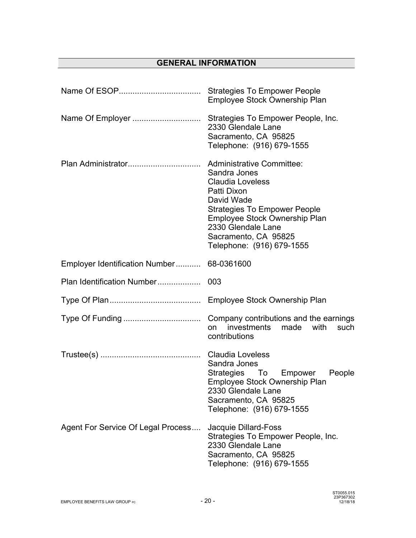# **GENERAL INFORMATION**

|                                           | Employee Stock Ownership Plan                                                                                                                                                                                                                               |  |  |
|-------------------------------------------|-------------------------------------------------------------------------------------------------------------------------------------------------------------------------------------------------------------------------------------------------------------|--|--|
|                                           | 2330 Glendale Lane<br>Sacramento, CA 95825<br>Telephone: (916) 679-1555                                                                                                                                                                                     |  |  |
|                                           | <b>Administrative Committee:</b><br>Sandra Jones<br><b>Claudia Loveless</b><br>Patti Dixon<br>David Wade<br><b>Strategies To Empower People</b><br>Employee Stock Ownership Plan<br>2330 Glendale Lane<br>Sacramento, CA 95825<br>Telephone: (916) 679-1555 |  |  |
| Employer Identification Number 68-0361600 |                                                                                                                                                                                                                                                             |  |  |
| Plan Identification Number                | 003                                                                                                                                                                                                                                                         |  |  |
|                                           |                                                                                                                                                                                                                                                             |  |  |
|                                           | investments<br>made<br>with<br>such<br>on<br>contributions                                                                                                                                                                                                  |  |  |
|                                           | Sandra Jones<br>Strategies To Empower<br>People<br>Employee Stock Ownership Plan<br>2330 Glendale Lane<br>Sacramento, CA 95825<br>Telephone: (916) 679-1555                                                                                                 |  |  |
| Agent For Service Of Legal Process        | Jacquie Dillard-Foss<br>Strategies To Empower People, Inc.<br>2330 Glendale Lane<br>Sacramento, CA 95825<br>Telephone: (916) 679-1555                                                                                                                       |  |  |